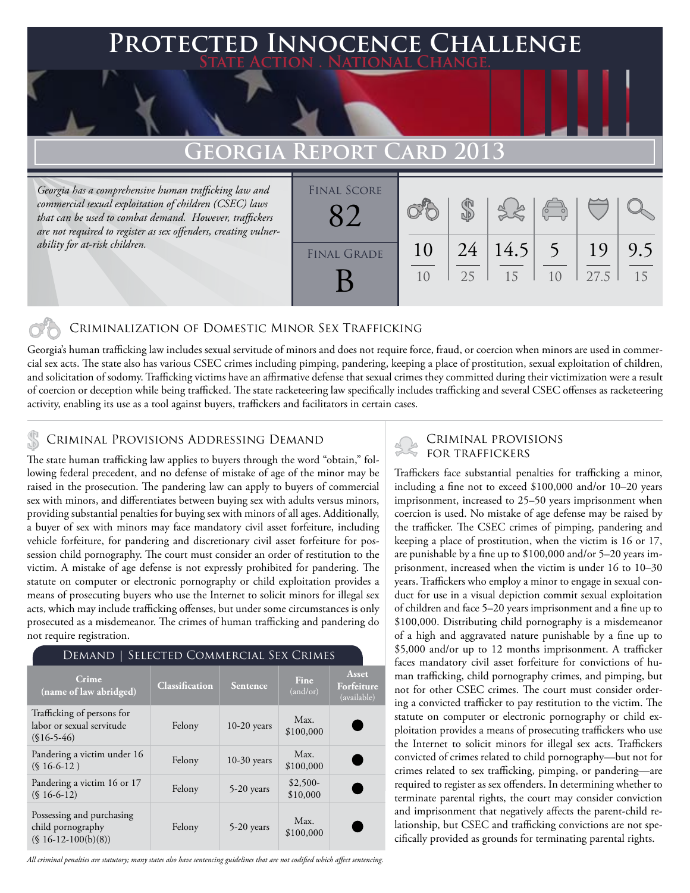## **FED INNOCENCE CHALLENGE State Action . National Change.**

# **GEORGIA REPORT C**

*Georgia has a comprehensive human trafficking law and commercial sexual exploitation of children (CSEC) laws that can be used to combat demand. However, traffickers are not required to register as sex offenders, creating vulnerability for at-risk children.*

| <b>FINAL SCORE</b> |    |    |      |                                                |      |     |
|--------------------|----|----|------|------------------------------------------------|------|-----|
|                    |    |    |      | $\begin{pmatrix} 0 & 0 \\ 0 & 0 \end{pmatrix}$ |      |     |
| <b>FINAL GRADE</b> | 10 | 24 | 14.5 | $\overline{5}$                                 | 19   | 9.5 |
|                    | 10 | 25 | 15   | 10                                             | 27.5 | 15  |

### Criminalization of Domestic Minor Sex Trafficking

Georgia's human trafficking law includes sexual servitude of minors and does not require force, fraud, or coercion when minors are used in commercial sex acts. The state also has various CSEC crimes including pimping, pandering, keeping a place of prostitution, sexual exploitation of children, and solicitation of sodomy. Trafficking victims have an affirmative defense that sexual crimes they committed during their victimization were a result of coercion or deception while being trafficked. The state racketeering law specifically includes trafficking and several CSEC offenses as racketeering activity, enabling its use as a tool against buyers, traffickers and facilitators in certain cases.

The state human trafficking law applies to buyers through the word "obtain," following federal precedent, and no defense of mistake of age of the minor may be raised in the prosecution. The pandering law can apply to buyers of commercial sex with minors, and differentiates between buying sex with adults versus minors, providing substantial penalties for buying sex with minors of all ages. Additionally, a buyer of sex with minors may face mandatory civil asset forfeiture, including vehicle forfeiture, for pandering and discretionary civil asset forfeiture for possession child pornography. The court must consider an order of restitution to the victim. A mistake of age defense is not expressly prohibited for pandering. The statute on computer or electronic pornography or child exploitation provides a means of prosecuting buyers who use the Internet to solicit minors for illegal sex acts, which may include trafficking offenses, but under some circumstances is only prosecuted as a misdemeanor. The crimes of human trafficking and pandering do not require registration.

|  |  | DEMAND   SELECTED COMMERCIAL SEX CRIMES |  |  |
|--|--|-----------------------------------------|--|--|
|--|--|-----------------------------------------|--|--|

| Crime<br>(name of law abridged)                                          | <b>Classification</b> | <b>Sentence</b> | Fine<br>(and/or)      | Asset<br>Forfeiture<br>(available) |
|--------------------------------------------------------------------------|-----------------------|-----------------|-----------------------|------------------------------------|
| Trafficking of persons for<br>labor or sexual servitude<br>$(S16-5-46)$  | Felony                | $10-20$ years   | Max.<br>\$100,000     |                                    |
| Pandering a victim under 16<br>$(S16-6-12)$                              | Felony                | $10-30$ years   | Max.<br>\$100,000     |                                    |
| Pandering a victim 16 or 17<br>$(S16-6-12)$                              | Felony                | 5-20 years      | $$2,500-$<br>\$10,000 |                                    |
| Possessing and purchasing<br>child pornography<br>$(S\ 16-12-100(b)(8))$ | Felony                | $5-20$ years    | Max.<br>\$100,000     |                                    |

*All criminal penalties are statutory; many states also have sentencing guidelines that are not codified which affect sentencing.* 

# CRIMINAL PROVISIONS ADDRESSING DEMAND<br>The state human trafficking law applies to hurger through the word "obtain " foll Second TOR TRAFFICKERS

Traffickers face substantial penalties for trafficking a minor, including a fine not to exceed \$100,000 and/or 10–20 years imprisonment, increased to 25–50 years imprisonment when coercion is used. No mistake of age defense may be raised by the trafficker. The CSEC crimes of pimping, pandering and keeping a place of prostitution, when the victim is 16 or 17, are punishable by a fine up to \$100,000 and/or 5–20 years imprisonment, increased when the victim is under 16 to 10–30 years. Traffickers who employ a minor to engage in sexual conduct for use in a visual depiction commit sexual exploitation of children and face 5–20 years imprisonment and a fine up to \$100,000. Distributing child pornography is a misdemeanor of a high and aggravated nature punishable by a fine up to \$5,000 and/or up to 12 months imprisonment. A trafficker faces mandatory civil asset forfeiture for convictions of human trafficking, child pornography crimes, and pimping, but not for other CSEC crimes. The court must consider ordering a convicted trafficker to pay restitution to the victim. The statute on computer or electronic pornography or child exploitation provides a means of prosecuting traffickers who use the Internet to solicit minors for illegal sex acts. Traffickers convicted of crimes related to child pornography—but not for crimes related to sex trafficking, pimping, or pandering—are required to register as sex offenders. In determining whether to terminate parental rights, the court may consider conviction and imprisonment that negatively affects the parent-child relationship, but CSEC and trafficking convictions are not specifically provided as grounds for terminating parental rights.